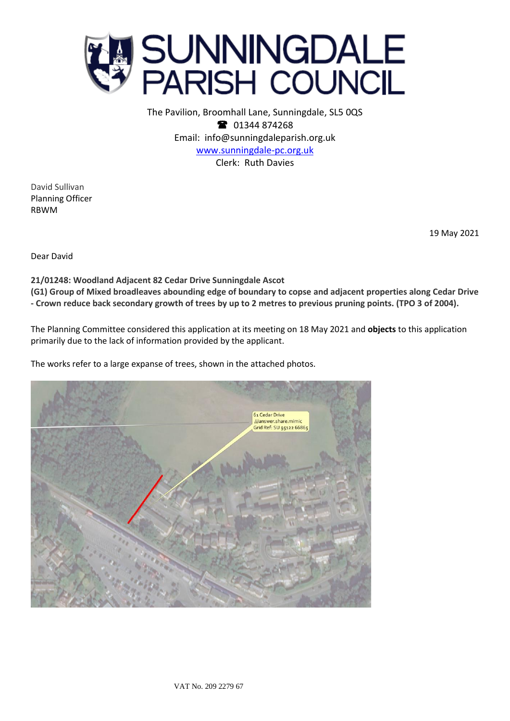

The Pavilion, Broomhall Lane, Sunningdale, SL5 0QS <sup>2</sup> 01344 874268 Email: info@sunningdaleparish.org.uk [www.sunningdale-pc.org.uk](http://www.sunningdale-pc.org.uk/) Clerk: Ruth Davies

David Sullivan Planning Officer RBWM

19 May 2021

Dear David

**21/01248: Woodland Adjacent 82 Cedar Drive Sunningdale Ascot (G1) Group of Mixed broadleaves abounding edge of boundary to copse and adjacent properties along Cedar Drive - Crown reduce back secondary growth of trees by up to 2 metres to previous pruning points. (TPO 3 of 2004).**

The Planning Committee considered this application at its meeting on 18 May 2021 and **objects** to this application primarily due to the lack of information provided by the applicant.

The works refer to a large expanse of trees, shown in the attached photos.